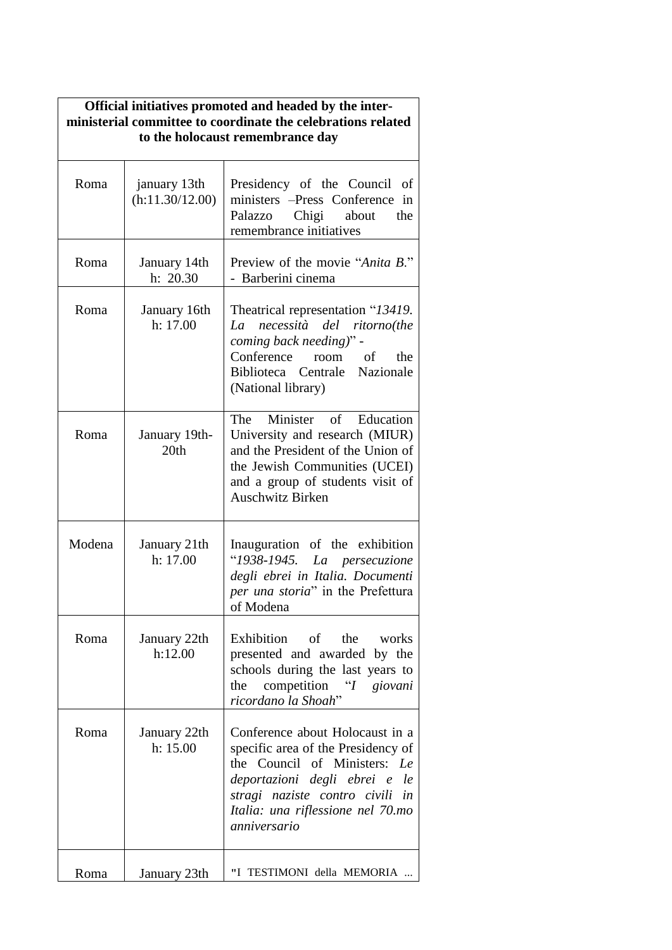| Official initiatives promoted and headed by the inter-<br>ministerial committee to coordinate the celebrations related<br>to the holocaust remembrance day |                                 |                                                                                                                                                                                                                                   |
|------------------------------------------------------------------------------------------------------------------------------------------------------------|---------------------------------|-----------------------------------------------------------------------------------------------------------------------------------------------------------------------------------------------------------------------------------|
| Roma                                                                                                                                                       | january 13th<br>(h:11.30/12.00) | Presidency of the Council<br>of<br>ministers -Press Conference in<br>Chigi<br>Palazzo<br>about<br>the<br>remembrance initiatives                                                                                                  |
| Roma                                                                                                                                                       | January 14th<br>h: 20.30        | Preview of the movie "Anita B."<br>- Barberini cinema                                                                                                                                                                             |
| Roma                                                                                                                                                       | January 16th<br>h: 17.00        | Theatrical representation "13419.<br>necessità<br>del ritorno(the<br>La<br>coming back needing)" -<br>Conference<br>room of<br>the<br>Biblioteca Centrale Nazionale<br>(National library)                                         |
| Roma                                                                                                                                                       | January 19th-<br>20th           | Minister<br>The<br>of<br>Education<br>University and research (MIUR)<br>and the President of the Union of<br>the Jewish Communities (UCEI)<br>and a group of students visit of<br><b>Auschwitz Birken</b>                         |
| Modena                                                                                                                                                     | January 21th<br>h: 17.00        | Inauguration of the exhibition<br>"1938-1945. La persecuzione<br>degli ebrei in Italia. Documenti<br>per una storia" in the Prefettura<br>of Modena                                                                               |
| Roma                                                                                                                                                       | January 22th<br>h:12.00         | Exhibition of the works<br>presented and awarded by the<br>schools during the last years to<br>competition "I<br>the<br>giovani<br>ricordano la Shoah"                                                                            |
| Roma                                                                                                                                                       | January 22th<br>h: 15.00        | Conference about Holocaust in a<br>specific area of the Presidency of<br>the Council of Ministers:<br>Le<br>deportazioni degli ebrei e le<br>stragi naziste contro civili in<br>Italia: una riflessione nel 70.mo<br>anniversario |
| Roma                                                                                                                                                       | January 23th                    | "I TESTIMONI della MEMORIA                                                                                                                                                                                                        |